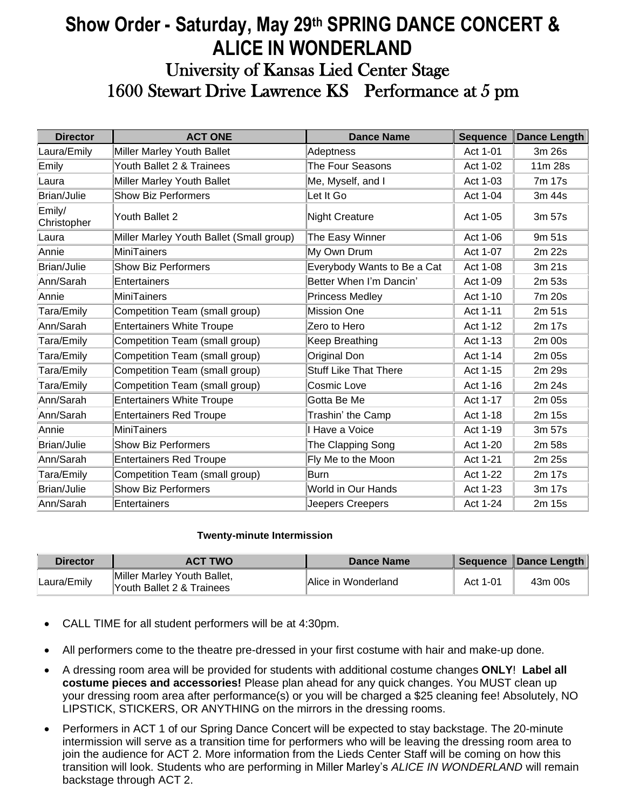## **Show Order - Saturday, May 29 th SPRING DANCE CONCERT & ALICE IN WONDERLAND** University of Kansas Lied Center Stage 1600 Stewart Drive Lawrence KS Performance at 5 pm

| <b>Director</b>       | <b>ACT ONE</b>                           | <b>Dance Name</b>            | <b>Sequence</b> | <b>Dance Length</b> |
|-----------------------|------------------------------------------|------------------------------|-----------------|---------------------|
| Laura/Emily           | Miller Marley Youth Ballet               | Adeptness                    | Act 1-01        | 3m 26s              |
| Emily                 | Youth Ballet 2 & Trainees                | The Four Seasons             | Act 1-02        | 11m 28s             |
| Laura                 | Miller Marley Youth Ballet               | Me, Myself, and I            | Act 1-03        | 7m 17s              |
| Brian/Julie           | <b>Show Biz Performers</b>               | Let It Go                    | Act 1-04        | 3m 44s              |
| Emily/<br>Christopher | Youth Ballet 2                           | <b>Night Creature</b>        | Act 1-05        | 3m 57s              |
| Laura                 | Miller Marley Youth Ballet (Small group) | The Easy Winner              | Act 1-06        | 9m 51s              |
| Annie                 | MiniTainers                              | My Own Drum                  | Act 1-07        | 2m 22s              |
| Brian/Julie           | <b>Show Biz Performers</b>               | Everybody Wants to Be a Cat  | Act 1-08        | 3m 21s              |
| Ann/Sarah             | Entertainers                             | Better When I'm Dancin'      | Act 1-09        | 2m 53s              |
| Annie                 | MiniTainers                              | <b>Princess Medley</b>       | Act 1-10        | 7m 20s              |
| Tara/Emily            | Competition Team (small group)           | Mission One                  | Act 1-11        | 2m 51s              |
| Ann/Sarah             | <b>Entertainers White Troupe</b>         | Zero to Hero                 | Act 1-12        | 2m 17s              |
| Tara/Emily            | Competition Team (small group)           | Keep Breathing               | Act 1-13        | 2m 00s              |
| Tara/Emily            | Competition Team (small group)           | Original Don                 | Act 1-14        | 2m 05s              |
| Tara/Emily            | Competition Team (small group)           | <b>Stuff Like That There</b> | Act 1-15        | 2m 29s              |
| Tara/Emily            | Competition Team (small group)           | Cosmic Love                  | Act 1-16        | 2m 24s              |
| Ann/Sarah             | <b>Entertainers White Troupe</b>         | Gotta Be Me                  | Act 1-17        | 2m 05s              |
| Ann/Sarah             | <b>Entertainers Red Troupe</b>           | Trashin' the Camp            | Act 1-18        | 2m 15s              |
| Annie                 | MiniTainers                              | Have a Voice                 | Act 1-19        | 3m 57s              |
| Brian/Julie           | <b>Show Biz Performers</b>               | The Clapping Song            | Act 1-20        | 2m 58s              |
| Ann/Sarah             | <b>Entertainers Red Troupe</b>           | Fly Me to the Moon           | Act 1-21        | 2m 25s              |
| Tara/Emily            | Competition Team (small group)           | Burn                         | Act 1-22        | 2m 17s              |
| Brian/Julie           | <b>Show Biz Performers</b>               | World in Our Hands           | Act 1-23        | 3m 17s              |
| Ann/Sarah             | Entertainers                             | Jeepers Creepers             | Act 1-24        | 2m 15s              |

## **Twenty-minute Intermission**

| <b>Director</b> | <b>ACT TWO</b>                                           | Dance Name          |          | Sequence Dance Length |
|-----------------|----------------------------------------------------------|---------------------|----------|-----------------------|
| Laura/Emily     | Miller Marley Youth Ballet,<br>Youth Ballet 2 & Trainees | Alice in Wonderland | Act 1-01 | 43m 00s               |

- CALL TIME for all student performers will be at 4:30pm.
- All performers come to the theatre pre-dressed in your first costume with hair and make-up done.
- A dressing room area will be provided for students with additional costume changes **ONLY**! **Label all costume pieces and accessories!** Please plan ahead for any quick changes. You MUST clean up your dressing room area after performance(s) or you will be charged a \$25 cleaning fee! Absolutely, NO LIPSTICK, STICKERS, OR ANYTHING on the mirrors in the dressing rooms.
- Performers in ACT 1 of our Spring Dance Concert will be expected to stay backstage. The 20-minute intermission will serve as a transition time for performers who will be leaving the dressing room area to join the audience for ACT 2. More information from the Lieds Center Staff will be coming on how this transition will look. Students who are performing in Miller Marley's *ALICE IN WONDERLAND* will remain backstage through ACT 2.